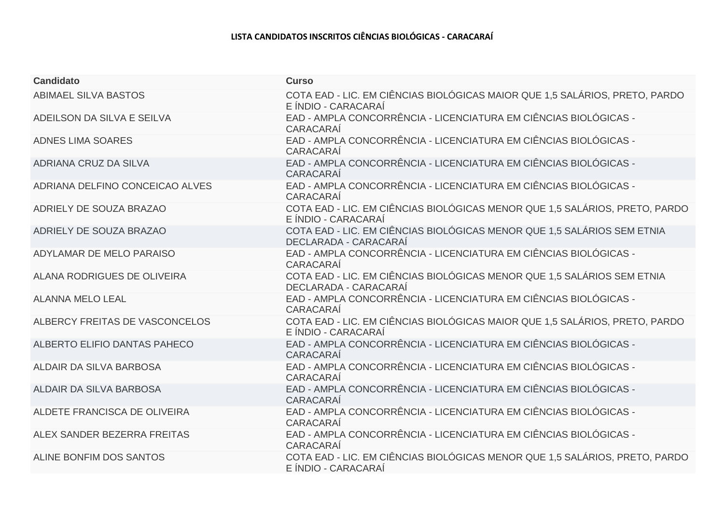## **LISTA CANDIDATOS INSCRITOS CIÊNCIAS BIOLÓGICAS - CARACARAÍ**

| <b>Candidato</b>                | <b>Curso</b>                                                                                       |
|---------------------------------|----------------------------------------------------------------------------------------------------|
| ABIMAEL SILVA BASTOS            | COTA EAD - LIC. EM CIÊNCIAS BIOLÓGICAS MAIOR QUE 1,5 SALÁRIOS, PRETO, PARDO<br>E ÍNDIO - CARACARAÍ |
| ADEILSON DA SILVA E SEILVA      | EAD - AMPLA CONCORRÊNCIA - LICENCIATURA EM CIÊNCIAS BIOLÓGICAS -<br>CARACARAÍ                      |
| <b>ADNES LIMA SOARES</b>        | EAD - AMPLA CONCORRÊNCIA - LICENCIATURA EM CIÊNCIAS BIOLÓGICAS -<br>CARACARAÍ                      |
| ADRIANA CRUZ DA SILVA           | EAD - AMPLA CONCORRÊNCIA - LICENCIATURA EM CIÊNCIAS BIOLÓGICAS -<br>CARACARAÍ                      |
| ADRIANA DELFINO CONCEICAO ALVES | EAD - AMPLA CONCORRÊNCIA - LICENCIATURA EM CIÊNCIAS BIOLÓGICAS -<br>CARACARAÍ                      |
| ADRIELY DE SOUZA BRAZAO         | COTA EAD - LIC. EM CIÊNCIAS BIOLÓGICAS MENOR QUE 1,5 SALÁRIOS, PRETO, PARDO<br>E ÍNDIO - CARACARAÍ |
| ADRIELY DE SOUZA BRAZAO         | COTA EAD - LIC. EM CIÊNCIAS BIOLÓGICAS MENOR QUE 1,5 SALÁRIOS SEM ETNIA<br>DECLARADA - CARACARAÍ   |
| ADYLAMAR DE MELO PARAISO        | EAD - AMPLA CONCORRÊNCIA - LICENCIATURA EM CIÊNCIAS BIOLÓGICAS -<br>CARACARAÍ                      |
| ALANA RODRIGUES DE OLIVEIRA     | COTA EAD - LIC. EM CIÊNCIAS BIOLÓGICAS MENOR QUE 1,5 SALÁRIOS SEM ETNIA<br>DECLARADA - CARACARAÍ   |
| <b>ALANNA MELO LEAL</b>         | EAD - AMPLA CONCORRÊNCIA - LICENCIATURA EM CIÊNCIAS BIOLÓGICAS -<br>CARACARAÍ                      |
| ALBERCY FREITAS DE VASCONCELOS  | COTA EAD - LIC. EM CIÊNCIAS BIOLÓGICAS MAIOR QUE 1,5 SALÁRIOS, PRETO, PARDO<br>E ÍNDIO - CARACARAÍ |
| ALBERTO ELIFIO DANTAS PAHECO    | EAD - AMPLA CONCORRÊNCIA - LICENCIATURA EM CIÊNCIAS BIOLÓGICAS -<br>CARACARAÍ                      |
| ALDAIR DA SILVA BARBOSA         | EAD - AMPLA CONCORRÊNCIA - LICENCIATURA EM CIÊNCIAS BIOLÓGICAS -<br>CARACARAÍ                      |
| ALDAIR DA SILVA BARBOSA         | EAD - AMPLA CONCORRÊNCIA - LICENCIATURA EM CIÊNCIAS BIOLÓGICAS -<br>CARACARAÍ                      |
| ALDETE FRANCISCA DE OLIVEIRA    | EAD - AMPLA CONCORRÊNCIA - LICENCIATURA EM CIÊNCIAS BIOLÓGICAS -<br>CARACARAÍ                      |
| ALEX SANDER BEZERRA FREITAS     | EAD - AMPLA CONCORRÊNCIA - LICENCIATURA EM CIÊNCIAS BIOLÓGICAS -<br>CARACARAÍ                      |
| ALINE BONFIM DOS SANTOS         | COTA EAD - LIC. EM CIÊNCIAS BIOLÓGICAS MENOR QUE 1,5 SALÁRIOS, PRETO, PARDO<br>E ÍNDIO - CARACARAÍ |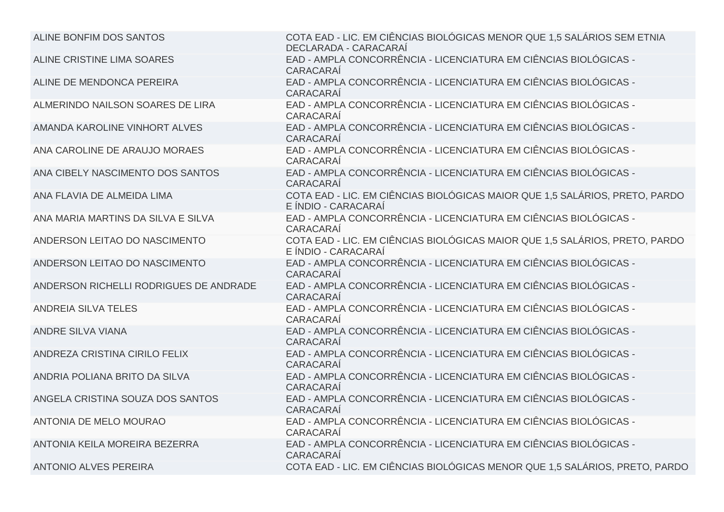| ALINE BONFIM DOS SANTOS                | COTA EAD - LIC. EM CIÊNCIAS BIOLÓGICAS MENOR QUE 1,5 SALÁRIOS SEM ETNIA<br>DECLARADA - CARACARAÍ   |
|----------------------------------------|----------------------------------------------------------------------------------------------------|
| ALINE CRISTINE LIMA SOARES             | EAD - AMPLA CONCORRÊNCIA - LICENCIATURA EM CIÊNCIAS BIOLÓGICAS -<br>CARACARAÍ                      |
| ALINE DE MENDONCA PEREIRA              | EAD - AMPLA CONCORRÊNCIA - LICENCIATURA EM CIÊNCIAS BIOLÓGICAS -<br>CARACARAÍ                      |
| ALMERINDO NAILSON SOARES DE LIRA       | EAD - AMPLA CONCORRÊNCIA - LICENCIATURA EM CIÊNCIAS BIOLÓGICAS -<br>CARACARAÍ                      |
| AMANDA KAROLINE VINHORT ALVES          | EAD - AMPLA CONCORRÊNCIA - LICENCIATURA EM CIÊNCIAS BIOLÓGICAS -<br>CARACARAÍ                      |
| ANA CAROLINE DE ARAUJO MORAES          | EAD - AMPLA CONCORRÊNCIA - LICENCIATURA EM CIÊNCIAS BIOLÓGICAS -<br>CARACARAÍ                      |
| ANA CIBELY NASCIMENTO DOS SANTOS       | EAD - AMPLA CONCORRÊNCIA - LICENCIATURA EM CIÊNCIAS BIOLÓGICAS -<br>CARACARAÍ                      |
| ANA FLAVIA DE ALMEIDA LIMA             | COTA EAD - LIC. EM CIÊNCIAS BIOLÓGICAS MAIOR QUE 1,5 SALÁRIOS, PRETO, PARDO<br>E ÍNDIO - CARACARAÍ |
| ANA MARIA MARTINS DA SILVA E SILVA     | EAD - AMPLA CONCORRÊNCIA - LICENCIATURA EM CIÊNCIAS BIOLÓGICAS -<br>CARACARAÍ                      |
| ANDERSON LEITAO DO NASCIMENTO          | COTA EAD - LIC. EM CIÊNCIAS BIOLÓGICAS MAIOR QUE 1,5 SALÁRIOS, PRETO, PARDO<br>E ÍNDIO - CARACARAÍ |
| ANDERSON LEITAO DO NASCIMENTO          | EAD - AMPLA CONCORRÊNCIA - LICENCIATURA EM CIÊNCIAS BIOLÓGICAS -<br>CARACARAÍ                      |
| ANDERSON RICHELLI RODRIGUES DE ANDRADE | EAD - AMPLA CONCORRÊNCIA - LICENCIATURA EM CIÊNCIAS BIOLÓGICAS -<br>CARACARAÍ                      |
| ANDREIA SILVA TELES                    | EAD - AMPLA CONCORRÊNCIA - LICENCIATURA EM CIÊNCIAS BIOLÓGICAS -<br>CARACARAÍ                      |
| <b>ANDRE SILVA VIANA</b>               | EAD - AMPLA CONCORRÊNCIA - LICENCIATURA EM CIÊNCIAS BIOLÓGICAS -<br>CARACARAÍ                      |
| ANDREZA CRISTINA CIRILO FELIX          | EAD - AMPLA CONCORRÊNCIA - LICENCIATURA EM CIÊNCIAS BIOLÓGICAS -<br>CARACARAÍ                      |
| ANDRIA POLIANA BRITO DA SILVA          | EAD - AMPLA CONCORRÊNCIA - LICENCIATURA EM CIÊNCIAS BIOLÓGICAS -<br><b>CARACARAÍ</b>               |
| ANGELA CRISTINA SOUZA DOS SANTOS       | EAD - AMPLA CONCORRÊNCIA - LICENCIATURA EM CIÊNCIAS BIOLÓGICAS -<br>CARACARAÍ                      |
| <b>ANTONIA DE MELO MOURAO</b>          | EAD - AMPLA CONCORRÊNCIA - LICENCIATURA EM CIÊNCIAS BIOLÓGICAS -<br>CARACARAÍ                      |
| ANTONIA KEILA MOREIRA BEZERRA          | EAD - AMPLA CONCORRÊNCIA - LICENCIATURA EM CIÊNCIAS BIOLÓGICAS -<br>CARACARAÍ                      |
| <b>ANTONIO ALVES PEREIRA</b>           | COTA EAD - LIC. EM CIÊNCIAS BIOLÓGICAS MENOR QUE 1,5 SALÁRIOS, PRETO, PARDO                        |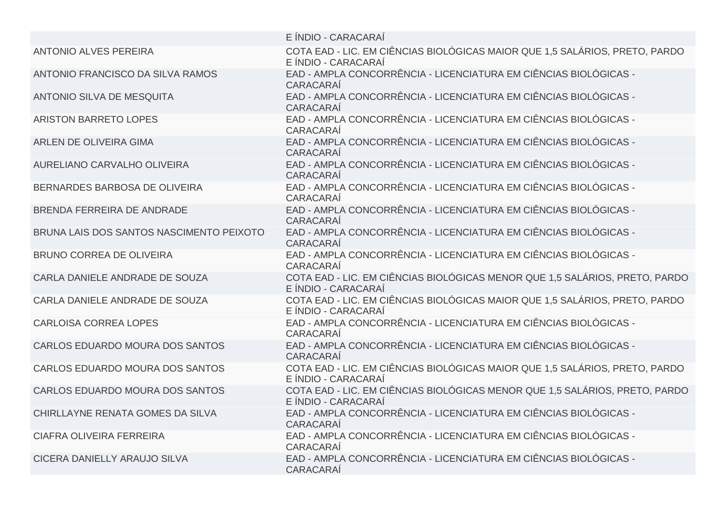|                                          | E ÍNDIO - CARACARAÍ                                                                                |
|------------------------------------------|----------------------------------------------------------------------------------------------------|
| <b>ANTONIO ALVES PEREIRA</b>             | COTA EAD - LIC. EM CIÊNCIAS BIOLÓGICAS MAIOR QUE 1,5 SALÁRIOS, PRETO, PARDO<br>E ÍNDIO - CARACARAÍ |
| ANTONIO FRANCISCO DA SILVA RAMOS         | EAD - AMPLA CONCORRÊNCIA - LICENCIATURA EM CIÊNCIAS BIOLÓGICAS -<br>CARACARAÍ                      |
| <b>ANTONIO SILVA DE MESQUITA</b>         | EAD - AMPLA CONCORRÊNCIA - LICENCIATURA EM CIÊNCIAS BIOLÓGICAS -<br>CARACARAÍ                      |
| <b>ARISTON BARRETO LOPES</b>             | EAD - AMPLA CONCORRÊNCIA - LICENCIATURA EM CIÊNCIAS BIOLÓGICAS -<br>CARACARAÍ                      |
| ARLEN DE OLIVEIRA GIMA                   | EAD - AMPLA CONCORRÊNCIA - LICENCIATURA EM CIÊNCIAS BIOLÓGICAS -<br>CARACARAÍ                      |
| AURELIANO CARVALHO OLIVEIRA              | EAD - AMPLA CONCORRÊNCIA - LICENCIATURA EM CIÊNCIAS BIOLÓGICAS -<br>CARACARAÍ                      |
| BERNARDES BARBOSA DE OLIVEIRA            | EAD - AMPLA CONCORRÊNCIA - LICENCIATURA EM CIÊNCIAS BIOLÓGICAS -<br>CARACARAÍ                      |
| BRENDA FERREIRA DE ANDRADE               | EAD - AMPLA CONCORRÊNCIA - LICENCIATURA EM CIÊNCIAS BIOLÓGICAS -<br>CARACARAÍ                      |
| BRUNA LAIS DOS SANTOS NASCIMENTO PEIXOTO | EAD - AMPLA CONCORRÊNCIA - LICENCIATURA EM CIÊNCIAS BIOLÓGICAS -<br>CARACARAÍ                      |
| <b>BRUNO CORREA DE OLIVEIRA</b>          | EAD - AMPLA CONCORRÊNCIA - LICENCIATURA EM CIÊNCIAS BIOLÓGICAS -<br>CARACARAÍ                      |
| CARLA DANIELE ANDRADE DE SOUZA           | COTA EAD - LIC. EM CIÊNCIAS BIOLÓGICAS MENOR QUE 1,5 SALÁRIOS, PRETO, PARDO<br>E ÍNDIO - CARACARAÍ |
| CARLA DANIELE ANDRADE DE SOUZA           | COTA EAD - LIC. EM CIÊNCIAS BIOLÓGICAS MAIOR QUE 1,5 SALÁRIOS, PRETO, PARDO<br>E ÍNDIO - CARACARAÍ |
| <b>CARLOISA CORREA LOPES</b>             | EAD - AMPLA CONCORRÊNCIA - LICENCIATURA EM CIÊNCIAS BIOLÓGICAS -<br>CARACARAÍ                      |
| CARLOS EDUARDO MOURA DOS SANTOS          | EAD - AMPLA CONCORRÊNCIA - LICENCIATURA EM CIÊNCIAS BIOLÓGICAS -<br>CARACARAÍ                      |
| CARLOS EDUARDO MOURA DOS SANTOS          | COTA EAD - LIC. EM CIÊNCIAS BIOLÓGICAS MAIOR QUE 1,5 SALÁRIOS, PRETO, PARDO<br>E ÍNDIO - CARACARAÍ |
| CARLOS EDUARDO MOURA DOS SANTOS          | COTA EAD - LIC. EM CIÊNCIAS BIOLÓGICAS MENOR QUE 1,5 SALÁRIOS, PRETO, PARDO<br>E ÍNDIO - CARACARAÍ |
| CHIRLLAYNE RENATA GOMES DA SILVA         | EAD - AMPLA CONCORRÊNCIA - LICENCIATURA EM CIÊNCIAS BIOLÓGICAS -<br>CARACARAÍ                      |
| <b>CIAFRA OLIVEIRA FERREIRA</b>          | EAD - AMPLA CONCORRÊNCIA - LICENCIATURA EM CIÊNCIAS BIOLÓGICAS -<br>CARACARAÍ                      |
| CICERA DANIELLY ARAUJO SILVA             | EAD - AMPLA CONCORRÊNCIA - LICENCIATURA EM CIÊNCIAS BIOLÓGICAS -<br>CARACARAÍ                      |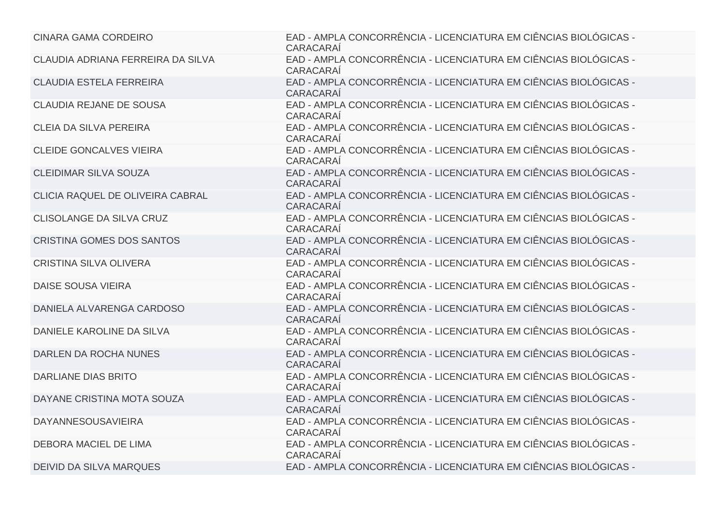| <b>CINARA GAMA CORDEIRO</b>       | EAD - AMPLA CONCORRÊNCIA - LICENCIATURA EM CIÊNCIAS BIOLÓGICAS -<br>CARACARAÍ        |
|-----------------------------------|--------------------------------------------------------------------------------------|
| CLAUDIA ADRIANA FERREIRA DA SILVA | EAD - AMPLA CONCORRÊNCIA - LICENCIATURA EM CIÊNCIAS BIOLÓGICAS -<br>CARACARAÍ        |
| <b>CLAUDIA ESTELA FERREIRA</b>    | EAD - AMPLA CONCORRÊNCIA - LICENCIATURA EM CIÊNCIAS BIOLÓGICAS -<br>CARACARAÍ        |
| <b>CLAUDIA REJANE DE SOUSA</b>    | EAD - AMPLA CONCORRÊNCIA - LICENCIATURA EM CIÊNCIAS BIOLÓGICAS -<br>CARACARAÍ        |
| <b>CLEIA DA SILVA PEREIRA</b>     | EAD - AMPLA CONCORRÊNCIA - LICENCIATURA EM CIÊNCIAS BIOLÓGICAS -<br>CARACARAÍ        |
| <b>CLEIDE GONCALVES VIEIRA</b>    | EAD - AMPLA CONCORRÊNCIA - LICENCIATURA EM CIÊNCIAS BIOLÓGICAS -<br>CARACARAÍ        |
| <b>CLEIDIMAR SILVA SOUZA</b>      | EAD - AMPLA CONCORRÊNCIA - LICENCIATURA EM CIÊNCIAS BIOLÓGICAS -<br>CARACARAÍ        |
| CLICIA RAQUEL DE OLIVEIRA CABRAL  | EAD - AMPLA CONCORRÊNCIA - LICENCIATURA EM CIÊNCIAS BIOLÓGICAS -<br>CARACARAÍ        |
| CLISOLANGE DA SILVA CRUZ          | EAD - AMPLA CONCORRÊNCIA - LICENCIATURA EM CIÊNCIAS BIOLÓGICAS -<br>CARACARAÍ        |
| <b>CRISTINA GOMES DOS SANTOS</b>  | EAD - AMPLA CONCORRÊNCIA - LICENCIATURA EM CIÊNCIAS BIOLÓGICAS -<br><b>CARACARAÍ</b> |
| <b>CRISTINA SILVA OLIVERA</b>     | EAD - AMPLA CONCORRÊNCIA - LICENCIATURA EM CIÊNCIAS BIOLÓGICAS -<br>CARACARAÍ        |
| DAISE SOUSA VIEIRA                | EAD - AMPLA CONCORRÊNCIA - LICENCIATURA EM CIÊNCIAS BIOLÓGICAS -<br>CARACARAÍ        |
| DANIELA ALVARENGA CARDOSO         | EAD - AMPLA CONCORRÊNCIA - LICENCIATURA EM CIÊNCIAS BIOLÓGICAS -<br>CARACARAÍ        |
| DANIELE KAROLINE DA SILVA         | EAD - AMPLA CONCORRÊNCIA - LICENCIATURA EM CIÊNCIAS BIOLÓGICAS -<br>CARACARAÍ        |
| DARLEN DA ROCHA NUNES             | EAD - AMPLA CONCORRÊNCIA - LICENCIATURA EM CIÊNCIAS BIOLÓGICAS -<br>CARACARAÍ        |
| <b>DARLIANE DIAS BRITO</b>        | EAD - AMPLA CONCORRÊNCIA - LICENCIATURA EM CIÊNCIAS BIOLÓGICAS -<br>CARACARAÍ        |
| DAYANE CRISTINA MOTA SOUZA        | EAD - AMPLA CONCORRÊNCIA - LICENCIATURA EM CIÊNCIAS BIOLÓGICAS -<br>CARACARAÍ        |
| <b>DAYANNESOUSAVIEIRA</b>         | EAD - AMPLA CONCORRÊNCIA - LICENCIATURA EM CIÊNCIAS BIOLÓGICAS -<br>CARACARAÍ        |
| DEBORA MACIEL DE LIMA             | EAD - AMPLA CONCORRÊNCIA - LICENCIATURA EM CIÊNCIAS BIOLÓGICAS -<br>CARACARAÍ        |
| <b>DEIVID DA SILVA MARQUES</b>    | EAD - AMPLA CONCORRÊNCIA - LICENCIATURA EM CIÊNCIAS BIOLÓGICAS -                     |
|                                   |                                                                                      |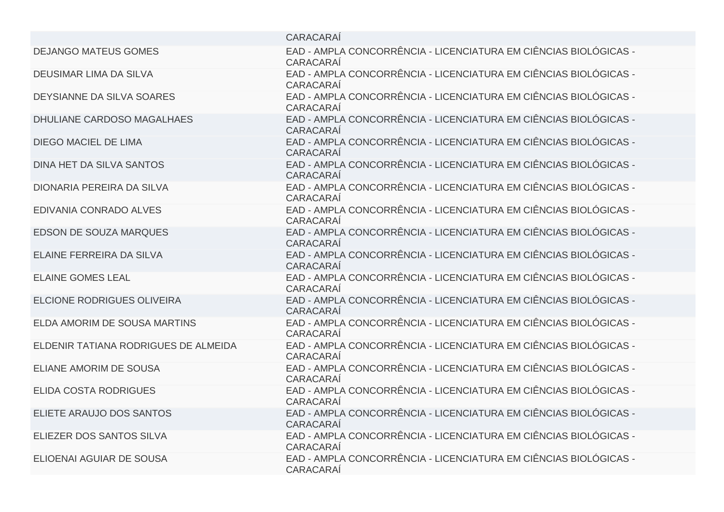|                                      | CARACARAÍ                                                                     |
|--------------------------------------|-------------------------------------------------------------------------------|
| <b>DEJANGO MATEUS GOMES</b>          | EAD - AMPLA CONCORRÊNCIA - LICENCIATURA EM CIÊNCIAS BIOLÓGICAS -<br>CARACARAÍ |
| <b>DEUSIMAR LIMA DA SILVA</b>        | EAD - AMPLA CONCORRÊNCIA - LICENCIATURA EM CIÊNCIAS BIOLÓGICAS -<br>CARACARAÍ |
| DEYSIANNE DA SILVA SOARES            | EAD - AMPLA CONCORRÊNCIA - LICENCIATURA EM CIÊNCIAS BIOLÓGICAS -<br>CARACARAÍ |
| DHULIANE CARDOSO MAGALHAES           | EAD - AMPLA CONCORRÊNCIA - LICENCIATURA EM CIÊNCIAS BIOLÓGICAS -<br>CARACARAÍ |
| <b>DIEGO MACIEL DE LIMA</b>          | EAD - AMPLA CONCORRÊNCIA - LICENCIATURA EM CIÊNCIAS BIOLÓGICAS -<br>CARACARAÍ |
| DINA HET DA SILVA SANTOS             | EAD - AMPLA CONCORRÊNCIA - LICENCIATURA EM CIÊNCIAS BIOLÓGICAS -<br>CARACARAÍ |
| DIONARIA PEREIRA DA SILVA            | EAD - AMPLA CONCORRÊNCIA - LICENCIATURA EM CIÊNCIAS BIOLÓGICAS -<br>CARACARAÍ |
| EDIVANIA CONRADO ALVES               | EAD - AMPLA CONCORRÊNCIA - LICENCIATURA EM CIÊNCIAS BIOLÓGICAS -<br>CARACARAI |
| <b>EDSON DE SOUZA MARQUES</b>        | EAD - AMPLA CONCORRÊNCIA - LICENCIATURA EM CIÊNCIAS BIOLÓGICAS -<br>CARACARAÍ |
| ELAINE FERREIRA DA SILVA             | EAD - AMPLA CONCORRÊNCIA - LICENCIATURA EM CIÊNCIAS BIOLÓGICAS -<br>CARACARAÍ |
| <b>ELAINE GOMES LEAL</b>             | EAD - AMPLA CONCORRÊNCIA - LICENCIATURA EM CIÊNCIAS BIOLÓGICAS -<br>CARACARAÍ |
| ELCIONE RODRIGUES OLIVEIRA           | EAD - AMPLA CONCORRÊNCIA - LICENCIATURA EM CIÊNCIAS BIOLÓGICAS -<br>CARACARAÍ |
| ELDA AMORIM DE SOUSA MARTINS         | EAD - AMPLA CONCORRÊNCIA - LICENCIATURA EM CIÊNCIAS BIOLÓGICAS -<br>CARACARAÍ |
| ELDENIR TATIANA RODRIGUES DE ALMEIDA | EAD - AMPLA CONCORRÊNCIA - LICENCIATURA EM CIÊNCIAS BIOLÓGICAS -<br>CARACARAÍ |
| ELIANE AMORIM DE SOUSA               | EAD - AMPLA CONCORRÊNCIA - LICENCIATURA EM CIÊNCIAS BIOLÓGICAS -<br>CARACARAÍ |
| ELIDA COSTA RODRIGUES                | EAD - AMPLA CONCORRÊNCIA - LICENCIATURA EM CIÊNCIAS BIOLÓGICAS -<br>CARACARAÍ |
| ELIETE ARAUJO DOS SANTOS             | EAD - AMPLA CONCORRÊNCIA - LICENCIATURA EM CIÊNCIAS BIOLÓGICAS -<br>CARACARAÍ |
| ELIEZER DOS SANTOS SILVA             | EAD - AMPLA CONCORRÊNCIA - LICENCIATURA EM CIÊNCIAS BIOLÓGICAS -<br>CARACARAÍ |
| ELIOENAI AGUIAR DE SOUSA             | EAD - AMPLA CONCORRÊNCIA - LICENCIATURA EM CIÊNCIAS BIOLÓGICAS -<br>CARACARAÍ |
|                                      |                                                                               |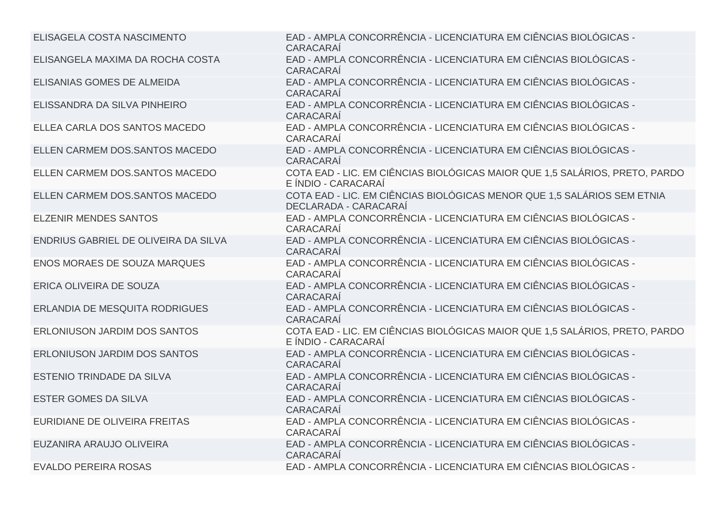| ELISAGELA COSTA NASCIMENTO            | EAD - AMPLA CONCORRÊNCIA - LICENCIATURA EM CIÊNCIAS BIOLÓGICAS -<br>CARACARAÍ                      |
|---------------------------------------|----------------------------------------------------------------------------------------------------|
| ELISANGELA MAXIMA DA ROCHA COSTA      | EAD - AMPLA CONCORRÊNCIA - LICENCIATURA EM CIÊNCIAS BIOLÓGICAS -<br>CARACARAÍ                      |
| ELISANIAS GOMES DE ALMEIDA            | EAD - AMPLA CONCORRÊNCIA - LICENCIATURA EM CIÊNCIAS BIOLÓGICAS -<br>CARACARAÍ                      |
| ELISSANDRA DA SILVA PINHEIRO          | EAD - AMPLA CONCORRÊNCIA - LICENCIATURA EM CIÊNCIAS BIOLÓGICAS -<br>CARACARAÍ                      |
| ELLEA CARLA DOS SANTOS MACEDO         | EAD - AMPLA CONCORRÊNCIA - LICENCIATURA EM CIÊNCIAS BIOLÓGICAS -<br>CARACARAÍ                      |
| ELLEN CARMEM DOS.SANTOS MACEDO        | EAD - AMPLA CONCORRÊNCIA - LICENCIATURA EM CIÊNCIAS BIOLÓGICAS -<br>CARACARAÍ                      |
| ELLEN CARMEM DOS.SANTOS MACEDO        | COTA EAD - LIC. EM CIÊNCIAS BIOLÓGICAS MAIOR QUE 1,5 SALÁRIOS, PRETO, PARDO<br>E ÍNDIO - CARACARAÍ |
| ELLEN CARMEM DOS.SANTOS MACEDO        | COTA EAD - LIC. EM CIÊNCIAS BIOLÓGICAS MENOR QUE 1,5 SALÁRIOS SEM ETNIA<br>DECLARADA - CARACARAÍ   |
| <b>ELZENIR MENDES SANTOS</b>          | EAD - AMPLA CONCORRÊNCIA - LICENCIATURA EM CIÊNCIAS BIOLÓGICAS -<br><b>CARACARAÍ</b>               |
| ENDRIUS GABRIEL DE OLIVEIRA DA SILVA  | EAD - AMPLA CONCORRÊNCIA - LICENCIATURA EM CIÊNCIAS BIOLÓGICAS -<br>CARACARAÍ                      |
| <b>ENOS MORAES DE SOUZA MARQUES</b>   | EAD - AMPLA CONCORRÊNCIA - LICENCIATURA EM CIÊNCIAS BIOLÓGICAS -<br>CARACARAÍ                      |
| ERICA OLIVEIRA DE SOUZA               | EAD - AMPLA CONCORRÊNCIA - LICENCIATURA EM CIÊNCIAS BIOLÓGICAS -<br>CARACARAÍ                      |
| <b>ERLANDIA DE MESQUITA RODRIGUES</b> | EAD - AMPLA CONCORRÊNCIA - LICENCIATURA EM CIÊNCIAS BIOLÓGICAS -<br>CARACARAÍ                      |
| <b>ERLONIUSON JARDIM DOS SANTOS</b>   | COTA EAD - LIC. EM CIÊNCIAS BIOLÓGICAS MAIOR QUE 1,5 SALÁRIOS, PRETO, PARDO<br>E ÍNDIO - CARACARAÍ |
| <b>ERLONIUSON JARDIM DOS SANTOS</b>   | EAD - AMPLA CONCORRÊNCIA - LICENCIATURA EM CIÊNCIAS BIOLÓGICAS -<br>CARACARAÍ                      |
| ESTENIO TRINDADE DA SILVA             | EAD - AMPLA CONCORRÊNCIA - LICENCIATURA EM CIÊNCIAS BIOLÓGICAS -<br>CARACARAÍ                      |
| <b>ESTER GOMES DA SILVA</b>           | EAD - AMPLA CONCORRÊNCIA - LICENCIATURA EM CIÊNCIAS BIOLÓGICAS -<br>CARACARAÍ                      |
| EURIDIANE DE OLIVEIRA FREITAS         | EAD - AMPLA CONCORRÊNCIA - LICENCIATURA EM CIÊNCIAS BIOLÓGICAS -<br>CARACARAÍ                      |
| EUZANIRA ARAUJO OLIVEIRA              | EAD - AMPLA CONCORRÊNCIA - LICENCIATURA EM CIÊNCIAS BIOLÓGICAS -<br>CARACARAÍ                      |
| <b>EVALDO PEREIRA ROSAS</b>           | EAD - AMPLA CONCORRÊNCIA - LICENCIATURA EM CIÊNCIAS BIOLÓGICAS -                                   |
|                                       |                                                                                                    |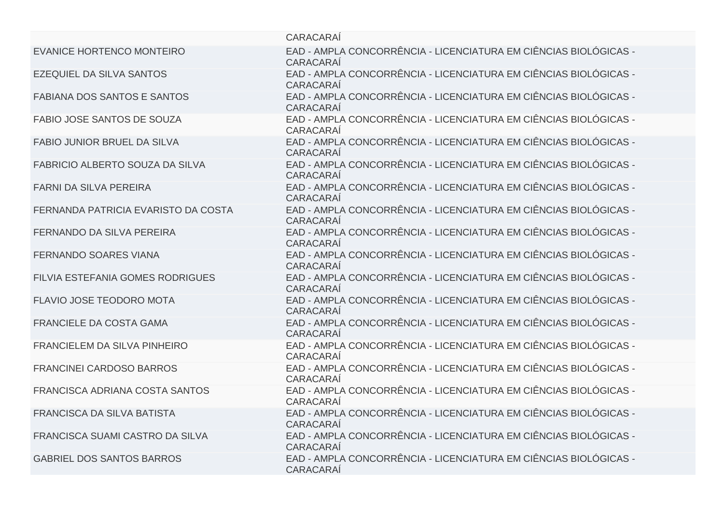|                                         | CARACARAÍ                                                                            |
|-----------------------------------------|--------------------------------------------------------------------------------------|
| EVANICE HORTENCO MONTEIRO               | EAD - AMPLA CONCORRÊNCIA - LICENCIATURA EM CIÊNCIAS BIOLÓGICAS -<br>CARACARAÍ        |
| <b>EZEQUIEL DA SILVA SANTOS</b>         | EAD - AMPLA CONCORRÊNCIA - LICENCIATURA EM CIÊNCIAS BIOLÓGICAS -<br>CARACARAÍ        |
| <b>FABIANA DOS SANTOS E SANTOS</b>      | EAD - AMPLA CONCORRÊNCIA - LICENCIATURA EM CIÊNCIAS BIOLÓGICAS -<br>CARACARAÍ        |
| <b>FABIO JOSE SANTOS DE SOUZA</b>       | EAD - AMPLA CONCORRÊNCIA - LICENCIATURA EM CIÊNCIAS BIOLÓGICAS -<br>CARACARAÍ        |
| <b>FABIO JUNIOR BRUEL DA SILVA</b>      | EAD - AMPLA CONCORRÊNCIA - LICENCIATURA EM CIÊNCIAS BIOLÓGICAS -<br>CARACARAÍ        |
| FABRICIO ALBERTO SOUZA DA SILVA         | EAD - AMPLA CONCORRÊNCIA - LICENCIATURA EM CIÊNCIAS BIOLÓGICAS -<br><b>CARACARAÍ</b> |
| <b>FARNI DA SILVA PEREIRA</b>           | EAD - AMPLA CONCORRÊNCIA - LICENCIATURA EM CIÊNCIAS BIOLÓGICAS -<br>CARACARAÍ        |
| FERNANDA PATRICIA EVARISTO DA COSTA     | EAD - AMPLA CONCORRÊNCIA - LICENCIATURA EM CIÊNCIAS BIOLÓGICAS -<br><b>CARACARAÍ</b> |
| <b>FERNANDO DA SILVA PEREIRA</b>        | EAD - AMPLA CONCORRÊNCIA - LICENCIATURA EM CIÊNCIAS BIOLÓGICAS -<br>CARACARAÍ        |
| <b>FERNANDO SOARES VIANA</b>            | EAD - AMPLA CONCORRÊNCIA - LICENCIATURA EM CIÊNCIAS BIOLÓGICAS -<br>CARACARAÍ        |
| <b>FILVIA ESTEFANIA GOMES RODRIGUES</b> | EAD - AMPLA CONCORRÊNCIA - LICENCIATURA EM CIÊNCIAS BIOLÓGICAS -<br><b>CARACARAÍ</b> |
| <b>FLAVIO JOSE TEODORO MOTA</b>         | EAD - AMPLA CONCORRÊNCIA - LICENCIATURA EM CIÊNCIAS BIOLÓGICAS -<br>CARACARAÍ        |
| <b>FRANCIELE DA COSTA GAMA</b>          | EAD - AMPLA CONCORRÊNCIA - LICENCIATURA EM CIÊNCIAS BIOLÓGICAS -<br>CARACARAÍ        |
| FRANCIELEM DA SILVA PINHEIRO            | EAD - AMPLA CONCORRÊNCIA - LICENCIATURA EM CIÊNCIAS BIOLÓGICAS -<br>CARACARAÍ        |
| <b>FRANCINEI CARDOSO BARROS</b>         | EAD - AMPLA CONCORRÊNCIA - LICENCIATURA EM CIÊNCIAS BIOLÓGICAS -<br>CARACARAÍ        |
| FRANCISCA ADRIANA COSTA SANTOS          | EAD - AMPLA CONCORRÊNCIA - LICENCIATURA EM CIÊNCIAS BIOLÓGICAS -<br>CARACARAÍ        |
| FRANCISCA DA SILVA BATISTA              | EAD - AMPLA CONCORRÊNCIA - LICENCIATURA EM CIÊNCIAS BIOLÓGICAS -<br>CARACARAÍ        |
| FRANCISCA SUAMI CASTRO DA SILVA         | EAD - AMPLA CONCORRÊNCIA - LICENCIATURA EM CIÊNCIAS BIOLÓGICAS -<br>CARACARAÍ        |
| <b>GABRIEL DOS SANTOS BARROS</b>        | EAD - AMPLA CONCORRÊNCIA - LICENCIATURA EM CIÊNCIAS BIOLÓGICAS -<br><b>CARACARAÍ</b> |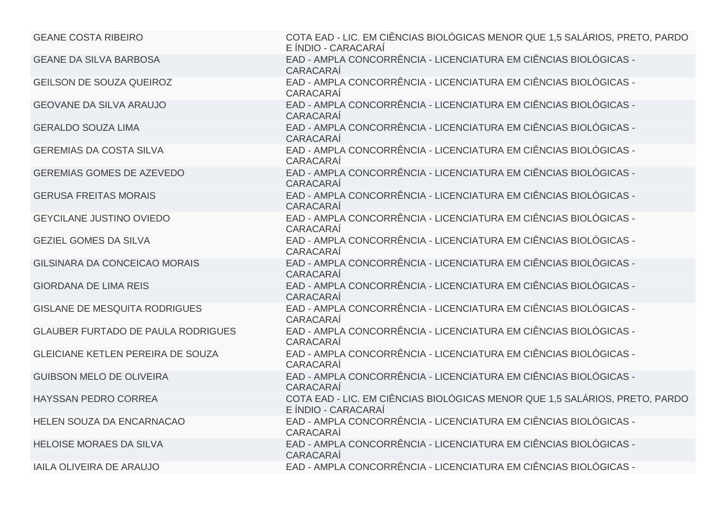| <b>GEANE COSTA RIBEIRO</b>                | COTA EAD - LIC. EM CIÊNCIAS BIOLÓGICAS MENOR QUE 1,5 SALÁRIOS, PRETO, PARDO<br>E ÍNDIO - CARACARAÍ |
|-------------------------------------------|----------------------------------------------------------------------------------------------------|
| <b>GEANE DA SILVA BARBOSA</b>             | EAD - AMPLA CONCORRÊNCIA - LICENCIATURA EM CIÊNCIAS BIOLÓGICAS -<br>CARACARAÍ                      |
| <b>GEILSON DE SOUZA QUEIROZ</b>           | EAD - AMPLA CONCORRÊNCIA - LICENCIATURA EM CIÊNCIAS BIOLÓGICAS -<br>CARACARAÍ                      |
| <b>GEOVANE DA SILVA ARAUJO</b>            | EAD - AMPLA CONCORRÊNCIA - LICENCIATURA EM CIÊNCIAS BIOLÓGICAS -<br>CARACARAÍ                      |
| <b>GERALDO SOUZA LIMA</b>                 | EAD - AMPLA CONCORRÊNCIA - LICENCIATURA EM CIÊNCIAS BIOLÓGICAS -<br>CARACARAÍ                      |
| <b>GEREMIAS DA COSTA SILVA</b>            | EAD - AMPLA CONCORRÊNCIA - LICENCIATURA EM CIÊNCIAS BIOLÓGICAS -<br>CARACARAÍ                      |
| <b>GEREMIAS GOMES DE AZEVEDO</b>          | EAD - AMPLA CONCORRÊNCIA - LICENCIATURA EM CIÊNCIAS BIOLÓGICAS -<br>CARACARAÍ                      |
| <b>GERUSA FREITAS MORAIS</b>              | EAD - AMPLA CONCORRÊNCIA - LICENCIATURA EM CIÊNCIAS BIOLÓGICAS -<br>CARACARAÍ                      |
| <b>GEYCILANE JUSTINO OVIEDO</b>           | EAD - AMPLA CONCORRÊNCIA - LICENCIATURA EM CIÊNCIAS BIOLÓGICAS -<br>CARACARAÍ                      |
| <b>GEZIEL GOMES DA SILVA</b>              | EAD - AMPLA CONCORRÊNCIA - LICENCIATURA EM CIÊNCIAS BIOLÓGICAS -<br>CARACARAÍ                      |
| GILSINARA DA CONCEICAO MORAIS             | EAD - AMPLA CONCORRÊNCIA - LICENCIATURA EM CIÊNCIAS BIOLÓGICAS -<br>CARACARAÍ                      |
| <b>GIORDANA DE LIMA REIS</b>              | EAD - AMPLA CONCORRÊNCIA - LICENCIATURA EM CIÊNCIAS BIOLÓGICAS -<br>CARACARAÍ                      |
| <b>GISLANE DE MESQUITA RODRIGUES</b>      | EAD - AMPLA CONCORRÊNCIA - LICENCIATURA EM CIÊNCIAS BIOLÓGICAS -<br>CARACARAÍ                      |
| <b>GLAUBER FURTADO DE PAULA RODRIGUES</b> | EAD - AMPLA CONCORRÊNCIA - LICENCIATURA EM CIÊNCIAS BIOLÓGICAS -<br>CARACARAÍ                      |
| GLEICIANE KETLEN PEREIRA DE SOUZA         | EAD - AMPLA CONCORRÊNCIA - LICENCIATURA EM CIÊNCIAS BIOLÓGICAS -<br>CARACARAÍ                      |
| <b>GUIBSON MELO DE OLIVEIRA</b>           | EAD - AMPLA CONCORRÊNCIA - LICENCIATURA EM CIÊNCIAS BIOLÓGICAS -<br>CARACARAÍ                      |
| HAYSSAN PEDRO CORREA                      | COTA EAD - LIC. EM CIÊNCIAS BIOLÓGICAS MENOR QUE 1,5 SALÁRIOS, PRETO, PARDO<br>E ÍNDIO - CARACARAÍ |
| HELEN SOUZA DA ENCARNACAO                 | EAD - AMPLA CONCORRÊNCIA - LICENCIATURA EM CIÊNCIAS BIOLÓGICAS -<br>CARACARAÍ                      |
| <b>HELOISE MORAES DA SILVA</b>            | EAD - AMPLA CONCORRÊNCIA - LICENCIATURA EM CIÊNCIAS BIOLÓGICAS -<br><b>CARACARAI</b>               |
| <b>IAILA OLIVEIRA DE ARAUJO</b>           | EAD - AMPLA CONCORRÊNCIA - LICENCIATURA EM CIÊNCIAS BIOLÓGICAS -                                   |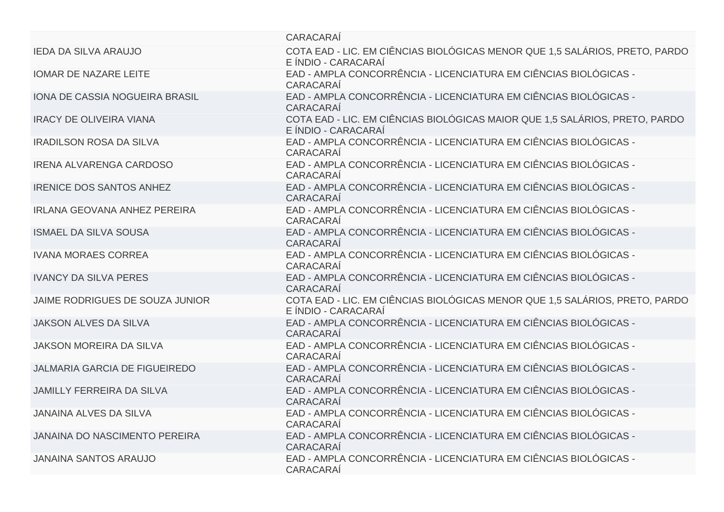| CARACARAÍ                                                                                          |
|----------------------------------------------------------------------------------------------------|
| COTA EAD - LIC. EM CIÊNCIAS BIOLÓGICAS MENOR QUE 1,5 SALÁRIOS, PRETO, PARDO<br>E ÍNDIO - CARACARAÍ |
| EAD - AMPLA CONCORRÊNCIA - LICENCIATURA EM CIÊNCIAS BIOLÓGICAS -<br>CARACARAÍ                      |
| EAD - AMPLA CONCORRÊNCIA - LICENCIATURA EM CIÊNCIAS BIOLÓGICAS -<br>CARACARAÍ                      |
| COTA EAD - LIC. EM CIÊNCIAS BIOLÓGICAS MAIOR QUE 1,5 SALÁRIOS, PRETO, PARDO<br>E ÍNDIO - CARACARAÍ |
| EAD - AMPLA CONCORRÊNCIA - LICENCIATURA EM CIÊNCIAS BIOLÓGICAS -<br>CARACARAÍ                      |
| EAD - AMPLA CONCORRÊNCIA - LICENCIATURA EM CIÊNCIAS BIOLÓGICAS -<br>CARACARAÍ                      |
| EAD - AMPLA CONCORRÊNCIA - LICENCIATURA EM CIÊNCIAS BIOLÓGICAS -<br>CARACARAÍ                      |
| EAD - AMPLA CONCORRÊNCIA - LICENCIATURA EM CIÊNCIAS BIOLÓGICAS -<br>CARACARAÍ                      |
| EAD - AMPLA CONCORRÊNCIA - LICENCIATURA EM CIÊNCIAS BIOLÓGICAS -<br>CARACARAÍ                      |
| EAD - AMPLA CONCORRÊNCIA - LICENCIATURA EM CIÊNCIAS BIOLÓGICAS -<br>CARACARAÍ                      |
| EAD - AMPLA CONCORRÊNCIA - LICENCIATURA EM CIÊNCIAS BIOLÓGICAS -<br>CARACARAÍ                      |
| COTA EAD - LIC. EM CIÊNCIAS BIOLÓGICAS MENOR QUE 1,5 SALÁRIOS, PRETO, PARDO<br>E ÍNDIO - CARACARAÍ |
| EAD - AMPLA CONCORRÊNCIA - LICENCIATURA EM CIÊNCIAS BIOLÓGICAS -<br>CARACARAÍ                      |
| EAD - AMPLA CONCORRÊNCIA - LICENCIATURA EM CIÊNCIAS BIOLÓGICAS -<br>CARACARAÍ                      |
| EAD - AMPLA CONCORRÊNCIA - LICENCIATURA EM CIÊNCIAS BIOLÓGICAS -<br>CARACARAÍ                      |
| EAD - AMPLA CONCORRÊNCIA - LICENCIATURA EM CIÊNCIAS BIOLÓGICAS -<br>CARACARAÍ                      |
| EAD - AMPLA CONCORRÊNCIA - LICENCIATURA EM CIÊNCIAS BIOLÓGICAS -<br>CARACARAÍ                      |
| EAD - AMPLA CONCORRÊNCIA - LICENCIATURA EM CIÊNCIAS BIOLÓGICAS -<br>CARACARAÍ                      |
| EAD - AMPLA CONCORRÊNCIA - LICENCIATURA EM CIÊNCIAS BIOLÓGICAS -<br>CARACARAÍ                      |
|                                                                                                    |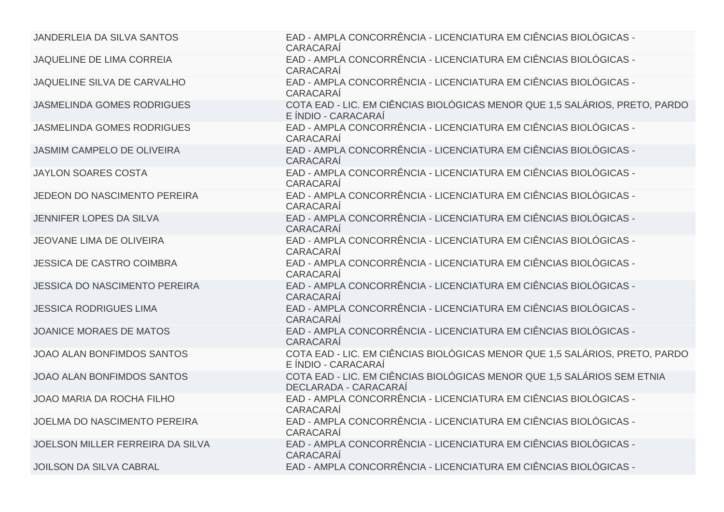| JANDERLEIA DA SILVA SANTOS           | EAD - AMPLA CONCORRÊNCIA - LICENCIATURA EM CIÊNCIAS BIOLÓGICAS -<br>CARACARAÍ                      |
|--------------------------------------|----------------------------------------------------------------------------------------------------|
| <b>JAQUELINE DE LIMA CORREIA</b>     | EAD - AMPLA CONCORRÊNCIA - LICENCIATURA EM CIÊNCIAS BIOLÓGICAS -<br>CARACARAÍ                      |
| JAQUELINE SILVA DE CARVALHO          | EAD - AMPLA CONCORRÊNCIA - LICENCIATURA EM CIÊNCIAS BIOLÓGICAS -<br>CARACARAÍ                      |
| <b>JASMELINDA GOMES RODRIGUES</b>    | COTA EAD - LIC. EM CIÊNCIAS BIOLÓGICAS MENOR QUE 1,5 SALÁRIOS, PRETO, PARDO<br>E ÍNDIO - CARACARAÍ |
| <b>JASMELINDA GOMES RODRIGUES</b>    | EAD - AMPLA CONCORRÊNCIA - LICENCIATURA EM CIÊNCIAS BIOLÓGICAS -<br><b>CARACARAÍ</b>               |
| <b>JASMIM CAMPELO DE OLIVEIRA</b>    | EAD - AMPLA CONCORRÊNCIA - LICENCIATURA EM CIÊNCIAS BIOLÓGICAS -<br>CARACARAÍ                      |
| <b>JAYLON SOARES COSTA</b>           | EAD - AMPLA CONCORRÊNCIA - LICENCIATURA EM CIÊNCIAS BIOLÓGICAS -<br>CARACARAÍ                      |
| JEDEON DO NASCIMENTO PEREIRA         | EAD - AMPLA CONCORRÊNCIA - LICENCIATURA EM CIÊNCIAS BIOLÓGICAS -<br>CARACARAÍ                      |
| JENNIFER LOPES DA SILVA              | EAD - AMPLA CONCORRÊNCIA - LICENCIATURA EM CIÊNCIAS BIOLÓGICAS -<br>CARACARAÍ                      |
| <b>JEOVANE LIMA DE OLIVEIRA</b>      | EAD - AMPLA CONCORRÊNCIA - LICENCIATURA EM CIÊNCIAS BIOLÓGICAS -<br>CARACARAÍ                      |
| <b>JESSICA DE CASTRO COIMBRA</b>     | EAD - AMPLA CONCORRÊNCIA - LICENCIATURA EM CIÊNCIAS BIOLÓGICAS -<br>CARACARAÍ                      |
| <b>JESSICA DO NASCIMENTO PEREIRA</b> | EAD - AMPLA CONCORRÊNCIA - LICENCIATURA EM CIÊNCIAS BIOLÓGICAS -<br>CARACARAÍ                      |
| <b>JESSICA RODRIGUES LIMA</b>        | EAD - AMPLA CONCORRÊNCIA - LICENCIATURA EM CIÊNCIAS BIOLÓGICAS -<br>CARACARAÍ                      |
| <b>JOANICE MORAES DE MATOS</b>       | EAD - AMPLA CONCORRÊNCIA - LICENCIATURA EM CIÊNCIAS BIOLÓGICAS -<br>CARACARAÍ                      |
| JOAO ALAN BONFIMDOS SANTOS           | COTA EAD - LIC. EM CIÊNCIAS BIOLÓGICAS MENOR QUE 1,5 SALÁRIOS, PRETO, PARDO<br>E ÍNDIO - CARACARAÍ |
| JOAO ALAN BONFIMDOS SANTOS           | COTA EAD - LIC. EM CIÊNCIAS BIOLÓGICAS MENOR QUE 1,5 SALÁRIOS SEM ETNIA<br>DECLARADA - CARACARAÍ   |
| <b>JOAO MARIA DA ROCHA FILHO</b>     | EAD - AMPLA CONCORRÊNCIA - LICENCIATURA EM CIÊNCIAS BIOLÓGICAS -<br>CARACARAÍ                      |
| JOELMA DO NASCIMENTO PEREIRA         | EAD - AMPLA CONCORRÊNCIA - LICENCIATURA EM CIÊNCIAS BIOLÓGICAS -<br><b>CARACARAÍ</b>               |
| JOELSON MILLER FERREIRA DA SILVA     | EAD - AMPLA CONCORRÊNCIA - LICENCIATURA EM CIÊNCIAS BIOLÓGICAS -<br>CARACARAÍ                      |
| <b>JOILSON DA SILVA CABRAL</b>       | EAD - AMPLA CONCORRÊNCIA - LICENCIATURA EM CIÊNCIAS BIOLÓGICAS -                                   |
|                                      |                                                                                                    |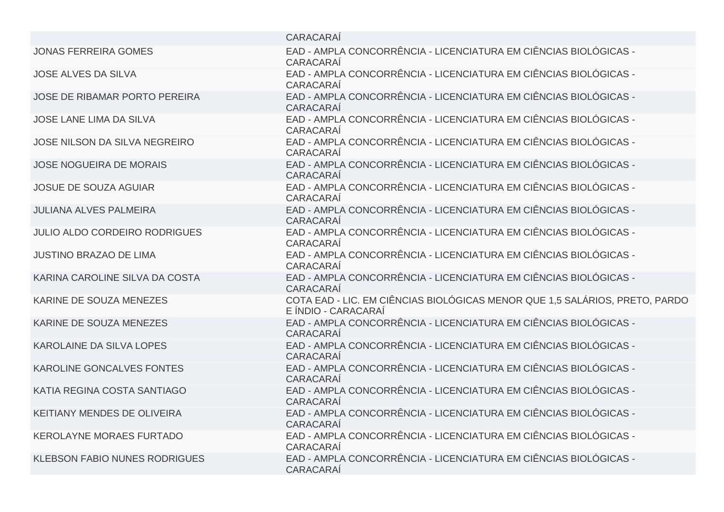| CARACARAÍ                                                                                          |
|----------------------------------------------------------------------------------------------------|
| EAD - AMPLA CONCORRÊNCIA - LICENCIATURA EM CIÊNCIAS BIOLÓGICAS -<br>CARACARAÍ                      |
| EAD - AMPLA CONCORRÊNCIA - LICENCIATURA EM CIÊNCIAS BIOLÓGICAS -<br>CARACARAÍ                      |
| EAD - AMPLA CONCORRÊNCIA - LICENCIATURA EM CIÊNCIAS BIOLÓGICAS -<br>CARACARAÍ                      |
| EAD - AMPLA CONCORRÊNCIA - LICENCIATURA EM CIÊNCIAS BIOLÓGICAS -<br>CARACARAÍ                      |
| EAD - AMPLA CONCORRÊNCIA - LICENCIATURA EM CIÊNCIAS BIOLÓGICAS -<br>CARACARAÍ                      |
| EAD - AMPLA CONCORRÊNCIA - LICENCIATURA EM CIÊNCIAS BIOLÓGICAS -<br>CARACARAÍ                      |
| EAD - AMPLA CONCORRÊNCIA - LICENCIATURA EM CIÊNCIAS BIOLÓGICAS -<br><b>CARACARAÍ</b>               |
| EAD - AMPLA CONCORRÊNCIA - LICENCIATURA EM CIÊNCIAS BIOLÓGICAS -<br>CARACARAÍ                      |
| EAD - AMPLA CONCORRÊNCIA - LICENCIATURA EM CIÊNCIAS BIOLÓGICAS -<br>CARACARAÍ                      |
| EAD - AMPLA CONCORRÊNCIA - LICENCIATURA EM CIÊNCIAS BIOLÓGICAS -<br>CARACARAÍ                      |
| EAD - AMPLA CONCORRÊNCIA - LICENCIATURA EM CIÊNCIAS BIOLÓGICAS -<br>CARACARAÍ                      |
| COTA EAD - LIC. EM CIÊNCIAS BIOLÓGICAS MENOR QUE 1,5 SALÁRIOS, PRETO, PARDO<br>E ÍNDIO - CARACARAÍ |
| EAD - AMPLA CONCORRÊNCIA - LICENCIATURA EM CIÊNCIAS BIOLÓGICAS -<br>CARACARAÍ                      |
| EAD - AMPLA CONCORRÊNCIA - LICENCIATURA EM CIÊNCIAS BIOLÓGICAS -<br>CARACARAÍ                      |
| EAD - AMPLA CONCORRÊNCIA - LICENCIATURA EM CIÊNCIAS BIOLÓGICAS -<br>CARACARAÍ                      |
| EAD - AMPLA CONCORRÊNCIA - LICENCIATURA EM CIÊNCIAS BIOLÓGICAS -<br>CARACARAÍ                      |
| EAD - AMPLA CONCORRÊNCIA - LICENCIATURA EM CIÊNCIAS BIOLÓGICAS -<br>CARACARAÍ                      |
| EAD - AMPLA CONCORRÊNCIA - LICENCIATURA EM CIÊNCIAS BIOLÓGICAS -<br>CARACARAÍ                      |
| EAD - AMPLA CONCORRÊNCIA - LICENCIATURA EM CIÊNCIAS BIOLÓGICAS -<br>CARACARAÍ                      |
|                                                                                                    |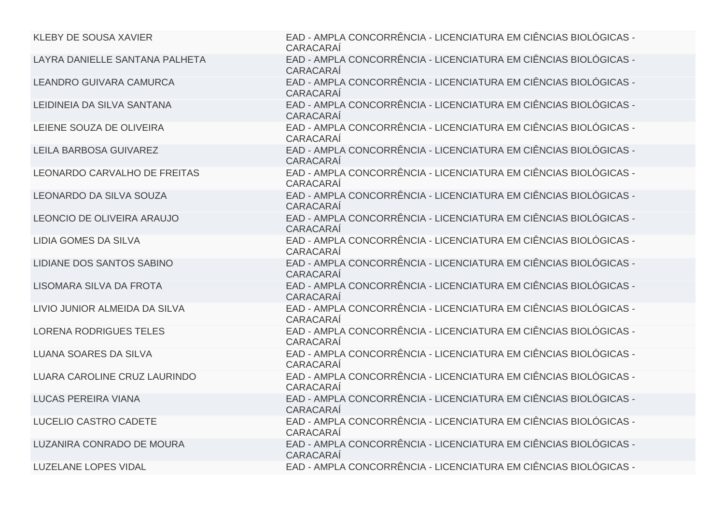| <b>KLEBY DE SOUSA XAVIER</b>   | EAD - AMPLA CONCORRÊNCIA - LICENCIATURA EM CIÊNCIAS BIOLÓGICAS -<br>CARACARAÍ        |
|--------------------------------|--------------------------------------------------------------------------------------|
| LAYRA DANIELLE SANTANA PALHETA | EAD - AMPLA CONCORRÊNCIA - LICENCIATURA EM CIÊNCIAS BIOLÓGICAS -<br>CARACARAÍ        |
| <b>LEANDRO GUIVARA CAMURCA</b> | EAD - AMPLA CONCORRÊNCIA - LICENCIATURA EM CIÊNCIAS BIOLÓGICAS -<br>CARACARAÍ        |
| LEIDINEIA DA SILVA SANTANA     | EAD - AMPLA CONCORRÊNCIA - LICENCIATURA EM CIÊNCIAS BIOLÓGICAS -<br>CARACARAÍ        |
| LEIENE SOUZA DE OLIVEIRA       | EAD - AMPLA CONCORRÊNCIA - LICENCIATURA EM CIÊNCIAS BIOLÓGICAS -<br><b>CARACARAÍ</b> |
| <b>LEILA BARBOSA GUIVAREZ</b>  | EAD - AMPLA CONCORRÊNCIA - LICENCIATURA EM CIÊNCIAS BIOLÓGICAS -<br>CARACARAÍ        |
| LEONARDO CARVALHO DE FREITAS   | EAD - AMPLA CONCORRÊNCIA - LICENCIATURA EM CIÊNCIAS BIOLÓGICAS -<br>CARACARAÍ        |
| LEONARDO DA SILVA SOUZA        | EAD - AMPLA CONCORRÊNCIA - LICENCIATURA EM CIÊNCIAS BIOLÓGICAS -<br>CARACARAÍ        |
| LEONCIO DE OLIVEIRA ARAUJO     | EAD - AMPLA CONCORRÊNCIA - LICENCIATURA EM CIÊNCIAS BIOLÓGICAS -<br><b>CARACARAÍ</b> |
| <b>LIDIA GOMES DA SILVA</b>    | EAD - AMPLA CONCORRÊNCIA - LICENCIATURA EM CIÊNCIAS BIOLÓGICAS -<br><b>CARACARAÍ</b> |
| LIDIANE DOS SANTOS SABINO      | EAD - AMPLA CONCORRÊNCIA - LICENCIATURA EM CIÊNCIAS BIOLÓGICAS -<br>CARACARAÍ        |
| LISOMARA SILVA DA FROTA        | EAD - AMPLA CONCORRÊNCIA - LICENCIATURA EM CIÊNCIAS BIOLÓGICAS -<br>CARACARAÍ        |
| LIVIO JUNIOR ALMEIDA DA SILVA  | EAD - AMPLA CONCORRÊNCIA - LICENCIATURA EM CIÊNCIAS BIOLÓGICAS -<br>CARACARAÍ        |
| <b>LORENA RODRIGUES TELES</b>  | EAD - AMPLA CONCORRÊNCIA - LICENCIATURA EM CIÊNCIAS BIOLÓGICAS -<br><b>CARACARAÍ</b> |
| <b>LUANA SOARES DA SILVA</b>   | EAD - AMPLA CONCORRÊNCIA - LICENCIATURA EM CIÊNCIAS BIOLÓGICAS -<br>CARACARAÍ        |
| LUARA CAROLINE CRUZ LAURINDO   | EAD - AMPLA CONCORRÊNCIA - LICENCIATURA EM CIÊNCIAS BIOLÓGICAS -<br><b>CARACARAÍ</b> |
| <b>LUCAS PEREIRA VIANA</b>     | EAD - AMPLA CONCORRÊNCIA - LICENCIATURA EM CIÊNCIAS BIOLÓGICAS -<br>CARACARAÍ        |
| LUCELIO CASTRO CADETE          | EAD - AMPLA CONCORRÊNCIA - LICENCIATURA EM CIÊNCIAS BIOLÓGICAS -<br>CARACARAÍ        |
| LUZANIRA CONRADO DE MOURA      | EAD - AMPLA CONCORRÊNCIA - LICENCIATURA EM CIÊNCIAS BIOLÓGICAS -<br><b>CARACARAÍ</b> |
| <b>LUZELANE LOPES VIDAL</b>    | EAD - AMPLA CONCORRÊNCIA - LICENCIATURA EM CIÊNCIAS BIOLÓGICAS -                     |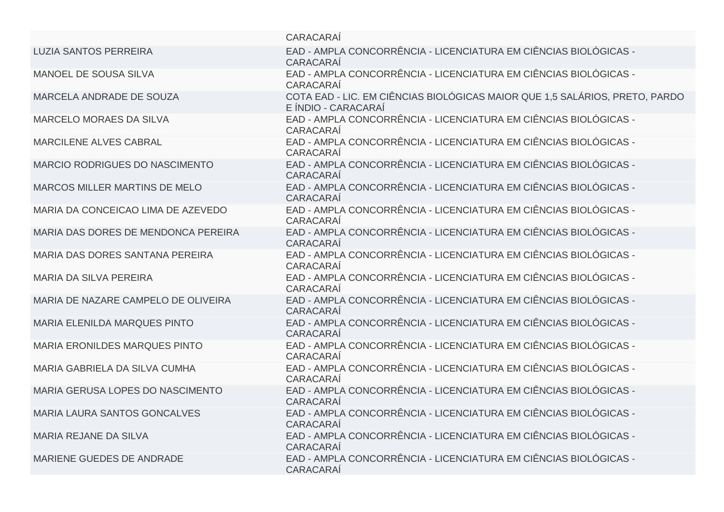|                                       | CARACARAÍ                                                                                          |
|---------------------------------------|----------------------------------------------------------------------------------------------------|
| <b>LUZIA SANTOS PERREIRA</b>          | EAD - AMPLA CONCORRÊNCIA - LICENCIATURA EM CIÊNCIAS BIOLÓGICAS -<br>CARACARAÍ                      |
| MANOEL DE SOUSA SILVA                 | EAD - AMPLA CONCORRÊNCIA - LICENCIATURA EM CIÊNCIAS BIOLÓGICAS -<br>CARACARAÍ                      |
| MARCELA ANDRADE DE SOUZA              | COTA EAD - LIC. EM CIÊNCIAS BIOLÓGICAS MAIOR QUE 1,5 SALÁRIOS, PRETO, PARDO<br>E ÍNDIO - CARACARAÍ |
| <b>MARCELO MORAES DA SILVA</b>        | EAD - AMPLA CONCORRÊNCIA - LICENCIATURA EM CIÊNCIAS BIOLÓGICAS -<br>CARACARAÍ                      |
| <b>MARCILENE ALVES CABRAL</b>         | EAD - AMPLA CONCORRÊNCIA - LICENCIATURA EM CIÊNCIAS BIOLÓGICAS -<br>CARACARAÍ                      |
| <b>MARCIO RODRIGUES DO NASCIMENTO</b> | EAD - AMPLA CONCORRÊNCIA - LICENCIATURA EM CIÊNCIAS BIOLÓGICAS -<br><b>CARACARAÍ</b>               |
| MARCOS MILLER MARTINS DE MELO         | EAD - AMPLA CONCORRÊNCIA - LICENCIATURA EM CIÊNCIAS BIOLÓGICAS -<br><b>CARACARAÍ</b>               |
| MARIA DA CONCEICAO LIMA DE AZEVEDO    | EAD - AMPLA CONCORRÊNCIA - LICENCIATURA EM CIÊNCIAS BIOLÓGICAS -<br>CARACARAÍ                      |
| MARIA DAS DORES DE MENDONCA PEREIRA   | EAD - AMPLA CONCORRÊNCIA - LICENCIATURA EM CIÊNCIAS BIOLÓGICAS -<br><b>CARACARAÍ</b>               |
| MARIA DAS DORES SANTANA PEREIRA       | EAD - AMPLA CONCORRÊNCIA - LICENCIATURA EM CIÊNCIAS BIOLÓGICAS -<br>CARACARAÍ                      |
| <b>MARIA DA SILVA PEREIRA</b>         | EAD - AMPLA CONCORRÊNCIA - LICENCIATURA EM CIÊNCIAS BIOLÓGICAS -<br>CARACARAÍ                      |
| MARIA DE NAZARE CAMPELO DE OLIVEIRA   | EAD - AMPLA CONCORRÊNCIA - LICENCIATURA EM CIÊNCIAS BIOLÓGICAS -<br><b>CARACARAÍ</b>               |
| <b>MARIA ELENILDA MARQUES PINTO</b>   | EAD - AMPLA CONCORRÊNCIA - LICENCIATURA EM CIÊNCIAS BIOLÓGICAS -<br>CARACARAÍ                      |
| <b>MARIA ERONILDES MARQUES PINTO</b>  | EAD - AMPLA CONCORRÊNCIA - LICENCIATURA EM CIÊNCIAS BIOLÓGICAS -<br>CARACARAÍ                      |
| MARIA GABRIELA DA SILVA CUMHA         | EAD - AMPLA CONCORRÊNCIA - LICENCIATURA EM CIÊNCIAS BIOLÓGICAS -<br>CARACARAÍ                      |
| MARIA GERUSA LOPES DO NASCIMENTO      | EAD - AMPLA CONCORRÊNCIA - LICENCIATURA EM CIÊNCIAS BIOLÓGICAS -<br>CARACARAÍ                      |
| <b>MARIA LAURA SANTOS GONCALVES</b>   | EAD - AMPLA CONCORRÊNCIA - LICENCIATURA EM CIÊNCIAS BIOLÓGICAS -<br>CARACARAÍ                      |
| <b>MARIA REJANE DA SILVA</b>          | EAD - AMPLA CONCORRÊNCIA - LICENCIATURA EM CIÊNCIAS BIOLÓGICAS -<br><b>CARACARAÍ</b>               |
| MARIENE GUEDES DE ANDRADE             | EAD - AMPLA CONCORRÊNCIA - LICENCIATURA EM CIÊNCIAS BIOLÓGICAS -<br><b>CARACARAÍ</b>               |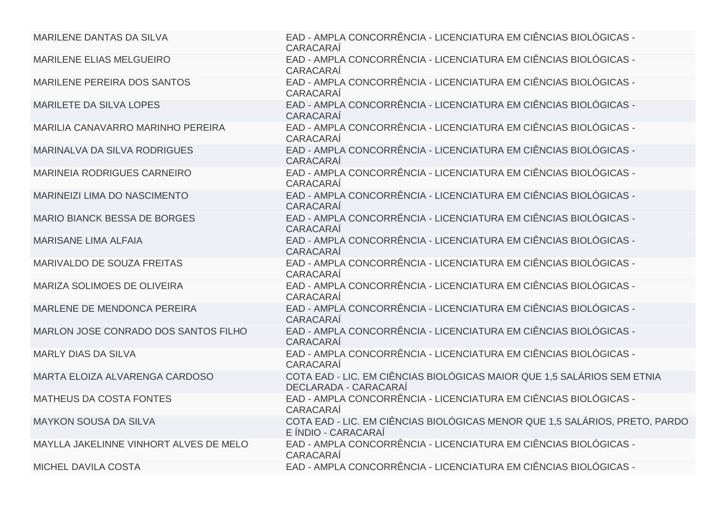| MARILENE DANTAS DA SILVA               | EAD - AMPLA CONCORRÊNCIA - LICENCIATURA EM CIÊNCIAS BIOLÓGICAS -<br>CARACARAÍ                      |
|----------------------------------------|----------------------------------------------------------------------------------------------------|
| MARILENE ELIAS MELGUEIRO               | EAD - AMPLA CONCORRÊNCIA - LICENCIATURA EM CIÊNCIAS BIOLÓGICAS -<br>CARACARAÍ                      |
| MARILENE PEREIRA DOS SANTOS            | EAD - AMPLA CONCORRÊNCIA - LICENCIATURA EM CIÊNCIAS BIOLÓGICAS -<br>CARACARAÍ                      |
| <b>MARILETE DA SILVA LOPES</b>         | EAD - AMPLA CONCORRÊNCIA - LICENCIATURA EM CIÊNCIAS BIOLÓGICAS -<br>CARACARAÍ                      |
| MARILIA CANAVARRO MARINHO PEREIRA      | EAD - AMPLA CONCORRÊNCIA - LICENCIATURA EM CIÊNCIAS BIOLÓGICAS -<br>CARACARAÍ                      |
| MARINALVA DA SILVA RODRIGUES           | EAD - AMPLA CONCORRÊNCIA - LICENCIATURA EM CIÊNCIAS BIOLÓGICAS -<br>CARACARAÍ                      |
| <b>MARINEIA RODRIGUES CARNEIRO</b>     | EAD - AMPLA CONCORRÊNCIA - LICENCIATURA EM CIÊNCIAS BIOLÓGICAS -<br>CARACARAÍ                      |
| MARINEIZI LIMA DO NASCIMENTO           | EAD - AMPLA CONCORRÊNCIA - LICENCIATURA EM CIÊNCIAS BIOLÓGICAS -<br>CARACARAÍ                      |
| <b>MARIO BIANCK BESSA DE BORGES</b>    | EAD - AMPLA CONCORRÊNCIA - LICENCIATURA EM CIÊNCIAS BIOLÓGICAS -<br>CARACARAÍ                      |
| <b>MARISANE LIMA ALFAIA</b>            | EAD - AMPLA CONCORRÊNCIA - LICENCIATURA EM CIÊNCIAS BIOLÓGICAS -<br><b>CARACARAÍ</b>               |
| MARIVALDO DE SOUZA FREITAS             | EAD - AMPLA CONCORRÊNCIA - LICENCIATURA EM CIÊNCIAS BIOLÓGICAS -<br>CARACARAÍ                      |
| MARIZA SOLIMOES DE OLIVEIRA            | EAD - AMPLA CONCORRÊNCIA - LICENCIATURA EM CIÊNCIAS BIOLÓGICAS -<br>CARACARAÍ                      |
| MARLENE DE MENDONCA PEREIRA            | EAD - AMPLA CONCORRÊNCIA - LICENCIATURA EM CIÊNCIAS BIOLÓGICAS -<br>CARACARAÍ                      |
| MARLON JOSE CONRADO DOS SANTOS FILHO   | EAD - AMPLA CONCORRÊNCIA - LICENCIATURA EM CIÊNCIAS BIOLÓGICAS -<br>CARACARAÍ                      |
| <b>MARLY DIAS DA SILVA</b>             | EAD - AMPLA CONCORRÊNCIA - LICENCIATURA EM CIÊNCIAS BIOLÓGICAS -<br>CARACARAÍ                      |
| MARTA ELOIZA ALVARENGA CARDOSO         | COTA EAD - LIC. EM CIÊNCIAS BIOLÓGICAS MAIOR QUE 1,5 SALÁRIOS SEM ETNIA<br>DECLARADA - CARACARAÍ   |
| MATHEUS DA COSTA FONTES                | EAD - AMPLA CONCORRÊNCIA - LICENCIATURA EM CIÊNCIAS BIOLÓGICAS -<br>CARACARAÍ                      |
| <b>MAYKON SOUSA DA SILVA</b>           | COTA EAD - LIC. EM CIÊNCIAS BIOLÓGICAS MENOR QUE 1,5 SALÁRIOS, PRETO, PARDO<br>E ÍNDIO - CARACARAÍ |
| MAYLLA JAKELINNE VINHORT ALVES DE MELO | EAD - AMPLA CONCORRÊNCIA - LICENCIATURA EM CIÊNCIAS BIOLÓGICAS -<br>CARACARAÍ                      |
| <b>MICHEL DAVILA COSTA</b>             | EAD - AMPLA CONCORRÊNCIA - LICENCIATURA EM CIÊNCIAS BIOLÓGICAS -                                   |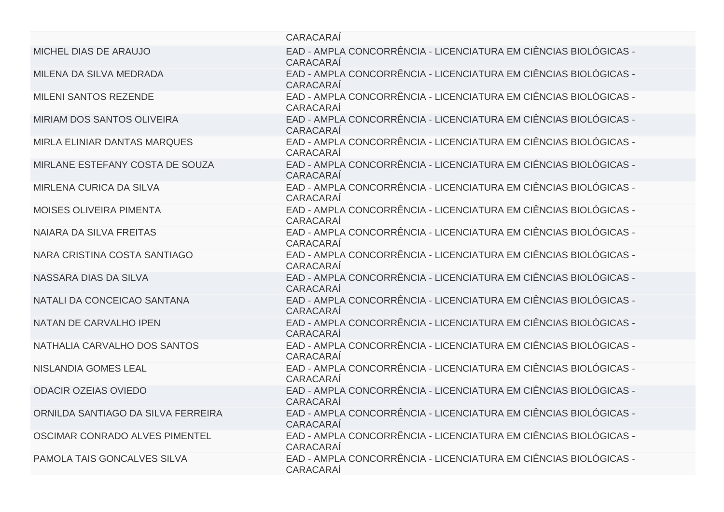|                                    | CARACARAÍ                                                                            |
|------------------------------------|--------------------------------------------------------------------------------------|
| MICHEL DIAS DE ARAUJO              | EAD - AMPLA CONCORRÊNCIA - LICENCIATURA EM CIÊNCIAS BIOLÓGICAS -<br>CARACARAÍ        |
| MILENA DA SILVA MEDRADA            | EAD - AMPLA CONCORRÊNCIA - LICENCIATURA EM CIÊNCIAS BIOLÓGICAS -<br>CARACARAÍ        |
| <b>MILENI SANTOS REZENDE</b>       | EAD - AMPLA CONCORRÊNCIA - LICENCIATURA EM CIÊNCIAS BIOLÓGICAS -<br>CARACARAÍ        |
| <b>MIRIAM DOS SANTOS OLIVEIRA</b>  | EAD - AMPLA CONCORRÊNCIA - LICENCIATURA EM CIÊNCIAS BIOLÓGICAS -<br>CARACARAÍ        |
| MIRLA ELINIAR DANTAS MARQUES       | EAD - AMPLA CONCORRÊNCIA - LICENCIATURA EM CIÊNCIAS BIOLÓGICAS -<br>CARACARAÍ        |
| MIRLANE ESTEFANY COSTA DE SOUZA    | EAD - AMPLA CONCORRÊNCIA - LICENCIATURA EM CIÊNCIAS BIOLÓGICAS -<br>CARACARAÍ        |
| <b>MIRLENA CURICA DA SILVA</b>     | EAD - AMPLA CONCORRÊNCIA - LICENCIATURA EM CIÊNCIAS BIOLÓGICAS -<br>CARACARAÍ        |
| <b>MOISES OLIVEIRA PIMENTA</b>     | EAD - AMPLA CONCORRÊNCIA - LICENCIATURA EM CIÊNCIAS BIOLÓGICAS -<br>CARACARAÍ        |
| NAIARA DA SILVA FREITAS            | EAD - AMPLA CONCORRÊNCIA - LICENCIATURA EM CIÊNCIAS BIOLÓGICAS -<br>CARACARAÍ        |
| NARA CRISTINA COSTA SANTIAGO       | EAD - AMPLA CONCORRÊNCIA - LICENCIATURA EM CIÊNCIAS BIOLÓGICAS -<br>CARACARAÍ        |
| NASSARA DIAS DA SILVA              | EAD - AMPLA CONCORRÊNCIA - LICENCIATURA EM CIÊNCIAS BIOLÓGICAS -<br><b>CARACARAÍ</b> |
| NATALI DA CONCEICAO SANTANA        | EAD - AMPLA CONCORRÊNCIA - LICENCIATURA EM CIÊNCIAS BIOLÓGICAS -<br>CARACARAÍ        |
| NATAN DE CARVALHO IPEN             | EAD - AMPLA CONCORRÊNCIA - LICENCIATURA EM CIÊNCIAS BIOLÓGICAS -<br>CARACARAÍ        |
| NATHALIA CARVALHO DOS SANTOS       | EAD - AMPLA CONCORRÊNCIA - LICENCIATURA EM CIÊNCIAS BIOLÓGICAS -<br>CARACARAÍ        |
| <b>NISLANDIA GOMES LEAL</b>        | EAD - AMPLA CONCORRÊNCIA - LICENCIATURA EM CIÊNCIAS BIOLÓGICAS -<br>CARACARAÍ        |
| <b>ODACIR OZEIAS OVIEDO</b>        | EAD - AMPLA CONCORRÊNCIA - LICENCIATURA EM CIÊNCIAS BIOLÓGICAS -<br>CARACARAÍ        |
| ORNILDA SANTIAGO DA SILVA FERREIRA | EAD - AMPLA CONCORRÊNCIA - LICENCIATURA EM CIÊNCIAS BIOLÓGICAS -<br>CARACARAÍ        |
| OSCIMAR CONRADO ALVES PIMENTEL     | EAD - AMPLA CONCORRÊNCIA - LICENCIATURA EM CIÊNCIAS BIOLÓGICAS -<br>CARACARAÍ        |
| PAMOLA TAIS GONCALVES SILVA        | EAD - AMPLA CONCORRÊNCIA - LICENCIATURA EM CIÊNCIAS BIOLÓGICAS -<br>CARACARAÍ        |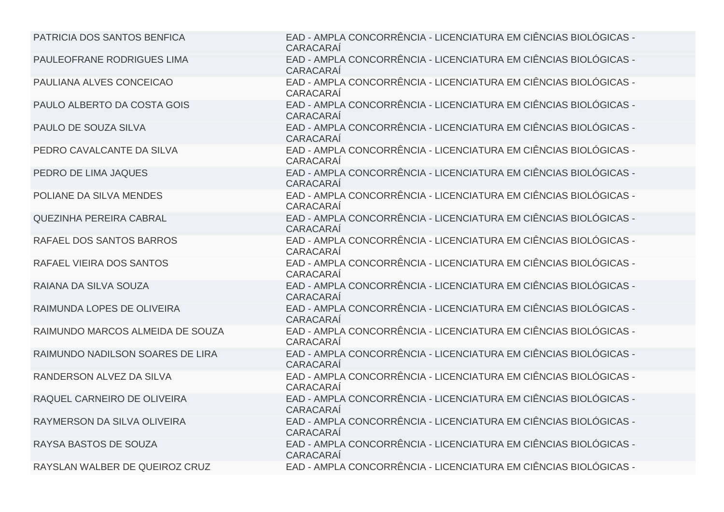| PATRICIA DOS SANTOS BENFICA      | EAD - AMPLA CONCORRÊNCIA - LICENCIATURA EM CIÊNCIAS BIOLÓGICAS -<br>CARACARAÍ        |
|----------------------------------|--------------------------------------------------------------------------------------|
| PAULEOFRANE RODRIGUES LIMA       | EAD - AMPLA CONCORRÊNCIA - LICENCIATURA EM CIÊNCIAS BIOLÓGICAS -<br>CARACARAÍ        |
| PAULIANA ALVES CONCEICAO         | EAD - AMPLA CONCORRÊNCIA - LICENCIATURA EM CIÊNCIAS BIOLÓGICAS -<br>CARACARAÍ        |
| PAULO ALBERTO DA COSTA GOIS      | EAD - AMPLA CONCORRÊNCIA - LICENCIATURA EM CIÊNCIAS BIOLÓGICAS -<br>CARACARAÍ        |
| PAULO DE SOUZA SILVA             | EAD - AMPLA CONCORRÊNCIA - LICENCIATURA EM CIÊNCIAS BIOLÓGICAS -<br>CARACARAÍ        |
| PEDRO CAVALCANTE DA SILVA        | EAD - AMPLA CONCORRÊNCIA - LICENCIATURA EM CIÊNCIAS BIOLÓGICAS -<br>CARACARAÍ        |
| PEDRO DE LIMA JAQUES             | EAD - AMPLA CONCORRÊNCIA - LICENCIATURA EM CIÊNCIAS BIOLÓGICAS -<br><b>CARACARAÍ</b> |
| POLIANE DA SILVA MENDES          | EAD - AMPLA CONCORRÊNCIA - LICENCIATURA EM CIÊNCIAS BIOLÓGICAS -<br>CARACARAÍ        |
| <b>QUEZINHA PEREIRA CABRAL</b>   | EAD - AMPLA CONCORRÊNCIA - LICENCIATURA EM CIÊNCIAS BIOLÓGICAS -<br><b>CARACARAÍ</b> |
| RAFAEL DOS SANTOS BARROS         | EAD - AMPLA CONCORRÊNCIA - LICENCIATURA EM CIÊNCIAS BIOLÓGICAS -<br>CARACARAÍ        |
| RAFAEL VIEIRA DOS SANTOS         | EAD - AMPLA CONCORRÊNCIA - LICENCIATURA EM CIÊNCIAS BIOLÓGICAS -<br>CARACARAÍ        |
| RAIANA DA SILVA SOUZA            | EAD - AMPLA CONCORRÊNCIA - LICENCIATURA EM CIÊNCIAS BIOLÓGICAS -<br>CARACARAÍ        |
| RAIMUNDA LOPES DE OLIVEIRA       | EAD - AMPLA CONCORRÊNCIA - LICENCIATURA EM CIÊNCIAS BIOLÓGICAS -<br>CARACARAÍ        |
| RAIMUNDO MARCOS ALMEIDA DE SOUZA | EAD - AMPLA CONCORRÊNCIA - LICENCIATURA EM CIÊNCIAS BIOLÓGICAS -<br>CARACARAÍ        |
| RAIMUNDO NADILSON SOARES DE LIRA | EAD - AMPLA CONCORRÊNCIA - LICENCIATURA EM CIÊNCIAS BIOLÓGICAS -<br>CARACARAÍ        |
| RANDERSON ALVEZ DA SILVA         | EAD - AMPLA CONCORRÊNCIA - LICENCIATURA EM CIÊNCIAS BIOLÓGICAS -<br>CARACARAÍ        |
| RAQUEL CARNEIRO DE OLIVEIRA      | EAD - AMPLA CONCORRÊNCIA - LICENCIATURA EM CIÊNCIAS BIOLÓGICAS -<br>CARACARAÍ        |
| RAYMERSON DA SILVA OLIVEIRA      | EAD - AMPLA CONCORRÊNCIA - LICENCIATURA EM CIÊNCIAS BIOLÓGICAS -<br>CARACARAÍ        |
| RAYSA BASTOS DE SOUZA            | EAD - AMPLA CONCORRÊNCIA - LICENCIATURA EM CIÊNCIAS BIOLÓGICAS -<br>CARACARAÍ        |
| RAYSLAN WALBER DE QUEIROZ CRUZ   | EAD - AMPLA CONCORRÊNCIA - LICENCIATURA EM CIÊNCIAS BIOLÓGICAS -                     |
|                                  |                                                                                      |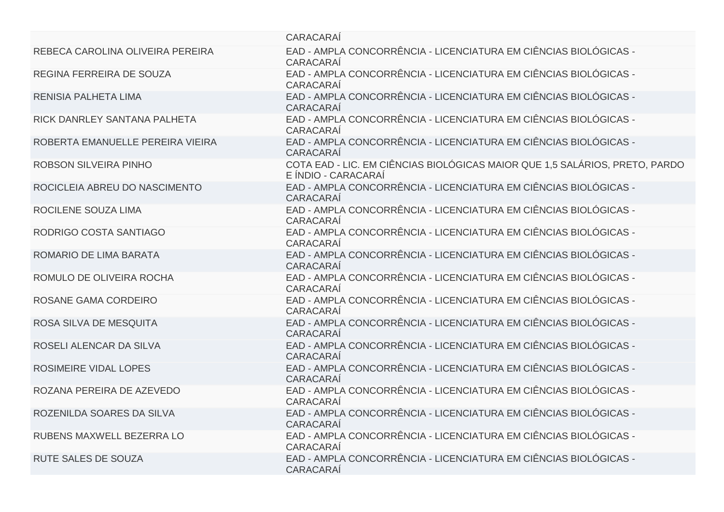|                                  | <b>CARACARAI</b>                                                                                   |
|----------------------------------|----------------------------------------------------------------------------------------------------|
| REBECA CAROLINA OLIVEIRA PEREIRA | EAD - AMPLA CONCORRÊNCIA - LICENCIATURA EM CIÊNCIAS BIOLÓGICAS -<br>CARACARAÍ                      |
| REGINA FERREIRA DE SOUZA         | EAD - AMPLA CONCORRÊNCIA - LICENCIATURA EM CIÊNCIAS BIOLÓGICAS -<br>CARACARAÍ                      |
| <b>RENISIA PALHETA LIMA</b>      | EAD - AMPLA CONCORRÊNCIA - LICENCIATURA EM CIÊNCIAS BIOLÓGICAS -<br>CARACARAÍ                      |
| RICK DANRLEY SANTANA PALHETA     | EAD - AMPLA CONCORRÊNCIA - LICENCIATURA EM CIÊNCIAS BIOLÓGICAS -<br>CARACARAÍ                      |
| ROBERTA EMANUELLE PEREIRA VIEIRA | EAD - AMPLA CONCORRÊNCIA - LICENCIATURA EM CIÊNCIAS BIOLÓGICAS -<br>CARACARAÍ                      |
| ROBSON SILVEIRA PINHO            | COTA EAD - LIC. EM CIÊNCIAS BIOLÓGICAS MAIOR QUE 1,5 SALÁRIOS, PRETO, PARDO<br>E ÍNDIO - CARACARAÍ |
| ROCICLEIA ABREU DO NASCIMENTO    | EAD - AMPLA CONCORRÊNCIA - LICENCIATURA EM CIÊNCIAS BIOLÓGICAS -<br>CARACARAÍ                      |
| ROCILENE SOUZA LIMA              | EAD - AMPLA CONCORRÊNCIA - LICENCIATURA EM CIÊNCIAS BIOLÓGICAS -<br>CARACARAÍ                      |
| RODRIGO COSTA SANTIAGO           | EAD - AMPLA CONCORRÊNCIA - LICENCIATURA EM CIÊNCIAS BIOLÓGICAS -<br>CARACARAÍ                      |
| ROMARIO DE LIMA BARATA           | EAD - AMPLA CONCORRÊNCIA - LICENCIATURA EM CIÊNCIAS BIOLÓGICAS -<br><b>CARACARAÍ</b>               |
| ROMULO DE OLIVEIRA ROCHA         | EAD - AMPLA CONCORRÊNCIA - LICENCIATURA EM CIÊNCIAS BIOLÓGICAS -<br>CARACARAÍ                      |
| ROSANE GAMA CORDEIRO             | EAD - AMPLA CONCORRÊNCIA - LICENCIATURA EM CIÊNCIAS BIOLÓGICAS -<br>CARACARAÍ                      |
| ROSA SILVA DE MESQUITA           | EAD - AMPLA CONCORRÊNCIA - LICENCIATURA EM CIÊNCIAS BIOLÓGICAS -<br>CARACARAÍ                      |
| ROSELI ALENCAR DA SILVA          | EAD - AMPLA CONCORRÊNCIA - LICENCIATURA EM CIÊNCIAS BIOLÓGICAS -<br>CARACARAÍ                      |
| ROSIMEIRE VIDAL LOPES            | EAD - AMPLA CONCORRÊNCIA - LICENCIATURA EM CIÊNCIAS BIOLÓGICAS -<br>CARACARAÍ                      |
| ROZANA PEREIRA DE AZEVEDO        | EAD - AMPLA CONCORRÊNCIA - LICENCIATURA EM CIÊNCIAS BIOLÓGICAS -<br>CARACARAÍ                      |
| ROZENILDA SOARES DA SILVA        | EAD - AMPLA CONCORRÊNCIA - LICENCIATURA EM CIÊNCIAS BIOLÓGICAS -<br><b>CARACARAÍ</b>               |
| RUBENS MAXWELL BEZERRA LO        | EAD - AMPLA CONCORRÊNCIA - LICENCIATURA EM CIÊNCIAS BIOLÓGICAS -<br>CARACARAÍ                      |
| <b>RUTE SALES DE SOUZA</b>       | EAD - AMPLA CONCORRÊNCIA - LICENCIATURA EM CIÊNCIAS BIOLÓGICAS -<br><b>CARACARAÍ</b>               |
|                                  |                                                                                                    |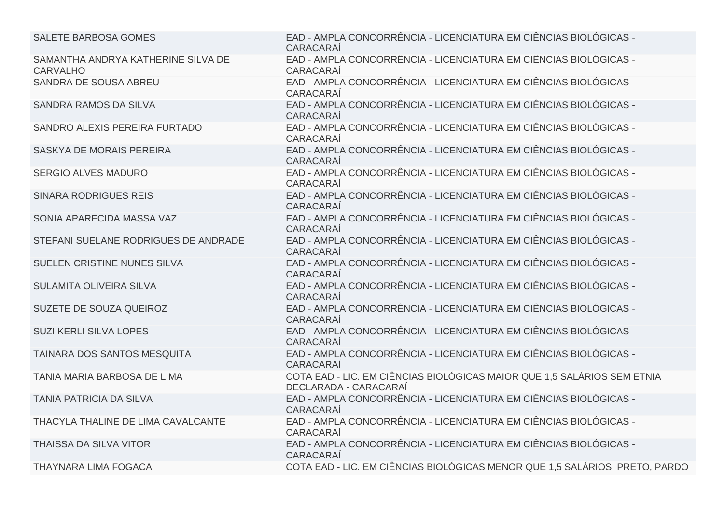| <b>SALETE BARBOSA GOMES</b>                           | EAD - AMPLA CONCORRÊNCIA - LICENCIATURA EM CIÊNCIAS BIOLÓGICAS -<br>CARACARAÍ                    |
|-------------------------------------------------------|--------------------------------------------------------------------------------------------------|
| SAMANTHA ANDRYA KATHERINE SILVA DE<br><b>CARVALHO</b> | EAD - AMPLA CONCORRÊNCIA - LICENCIATURA EM CIÊNCIAS BIOLÓGICAS -<br>CARACARAÍ                    |
| SANDRA DE SOUSA ABREU                                 | EAD - AMPLA CONCORRÊNCIA - LICENCIATURA EM CIÊNCIAS BIOLÓGICAS -<br>CARACARAÍ                    |
| SANDRA RAMOS DA SILVA                                 | EAD - AMPLA CONCORRÊNCIA - LICENCIATURA EM CIÊNCIAS BIOLÓGICAS -<br>CARACARAÍ                    |
| SANDRO ALEXIS PEREIRA FURTADO                         | EAD - AMPLA CONCORRÊNCIA - LICENCIATURA EM CIÊNCIAS BIOLÓGICAS -<br>CARACARAÍ                    |
| SASKYA DE MORAIS PEREIRA                              | EAD - AMPLA CONCORRÊNCIA - LICENCIATURA EM CIÊNCIAS BIOLÓGICAS -<br>CARACARAÍ                    |
| <b>SERGIO ALVES MADURO</b>                            | EAD - AMPLA CONCORRÊNCIA - LICENCIATURA EM CIÊNCIAS BIOLÓGICAS -<br>CARACARAÍ                    |
| <b>SINARA RODRIGUES REIS</b>                          | EAD - AMPLA CONCORRÊNCIA - LICENCIATURA EM CIÊNCIAS BIOLÓGICAS -<br>CARACARAÍ                    |
| SONIA APARECIDA MASSA VAZ                             | EAD - AMPLA CONCORRÊNCIA - LICENCIATURA EM CIÊNCIAS BIOLÓGICAS -<br>CARACARAÍ                    |
| STEFANI SUELANE RODRIGUES DE ANDRADE                  | EAD - AMPLA CONCORRÊNCIA - LICENCIATURA EM CIÊNCIAS BIOLÓGICAS -<br>CARACARAÍ                    |
| SUELEN CRISTINE NUNES SILVA                           | EAD - AMPLA CONCORRÊNCIA - LICENCIATURA EM CIÊNCIAS BIOLÓGICAS -<br>CARACARAÍ                    |
| SULAMITA OLIVEIRA SILVA                               | EAD - AMPLA CONCORRÊNCIA - LICENCIATURA EM CIÊNCIAS BIOLÓGICAS -<br>CARACARAÍ                    |
| SUZETE DE SOUZA QUEIROZ                               | EAD - AMPLA CONCORRÊNCIA - LICENCIATURA EM CIÊNCIAS BIOLÓGICAS -<br>CARACARAÍ                    |
| <b>SUZI KERLI SILVA LOPES</b>                         | EAD - AMPLA CONCORRÊNCIA - LICENCIATURA EM CIÊNCIAS BIOLÓGICAS -<br>CARACARAÍ                    |
| TAINARA DOS SANTOS MESQUITA                           | EAD - AMPLA CONCORRÊNCIA - LICENCIATURA EM CIÊNCIAS BIOLÓGICAS -<br>CARACARAÍ                    |
| TANIA MARIA BARBOSA DE LIMA                           | COTA EAD - LIC. EM CIÊNCIAS BIOLÓGICAS MAIOR QUE 1,5 SALÁRIOS SEM ETNIA<br>DECLARADA - CARACARAÍ |
| <b>TANIA PATRICIA DA SILVA</b>                        | EAD - AMPLA CONCORRÊNCIA - LICENCIATURA EM CIÊNCIAS BIOLÓGICAS -<br>CARACARAÍ                    |
| THACYLA THALINE DE LIMA CAVALCANTE                    | EAD - AMPLA CONCORRÊNCIA - LICENCIATURA EM CIÊNCIAS BIOLÓGICAS -<br>CARACARAÍ                    |
| THAISSA DA SILVA VITOR                                | EAD - AMPLA CONCORRÊNCIA - LICENCIATURA EM CIÊNCIAS BIOLÓGICAS -<br>CARACARAÍ                    |
| <b>THAYNARA LIMA FOGACA</b>                           | COTA EAD - LIC. EM CIÊNCIAS BIOLÓGICAS MENOR QUE 1,5 SALÁRIOS, PRETO, PARDO                      |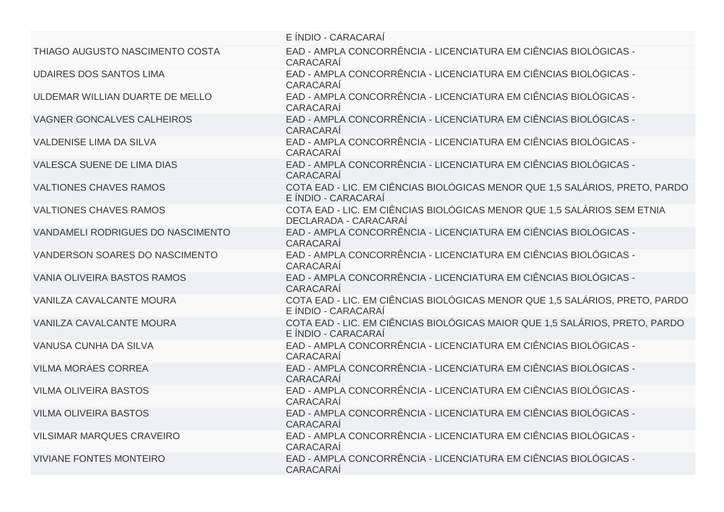|                                    | E INDIO - CARACARAI                                                                                |
|------------------------------------|----------------------------------------------------------------------------------------------------|
| THIAGO AUGUSTO NASCIMENTO COSTA    | EAD - AMPLA CONCORRÊNCIA - LICENCIATURA EM CIÊNCIAS BIOLÓGICAS -<br>CARACARAÍ                      |
| <b>UDAIRES DOS SANTOS LIMA</b>     | EAD - AMPLA CONCORRÊNCIA - LICENCIATURA EM CIÊNCIAS BIOLÓGICAS -<br>CARACARAÍ                      |
| ULDEMAR WILLIAN DUARTE DE MELLO    | EAD - AMPLA CONCORRÊNCIA - LICENCIATURA EM CIÊNCIAS BIOLÓGICAS -<br>CARACARAÍ                      |
| <b>VAGNER GONCALVES CALHEIROS</b>  | EAD - AMPLA CONCORRÊNCIA - LICENCIATURA EM CIÊNCIAS BIOLÓGICAS -<br>CARACARAÍ                      |
| <b>VALDENISE LIMA DA SILVA</b>     | EAD - AMPLA CONCORRÊNCIA - LICENCIATURA EM CIÊNCIAS BIOLÓGICAS -<br><b>CARACARAÍ</b>               |
| <b>VALESCA SUENE DE LIMA DIAS</b>  | EAD - AMPLA CONCORRÊNCIA - LICENCIATURA EM CIÊNCIAS BIOLÓGICAS -<br>CARACARAÍ                      |
| <b>VALTIONES CHAVES RAMOS</b>      | COTA EAD - LIC. EM CIÊNCIAS BIOLÓGICAS MENOR QUE 1,5 SALÁRIOS, PRETO, PARDO<br>E ÍNDIO - CARACARAÍ |
| <b>VALTIONES CHAVES RAMOS</b>      | COTA EAD - LIC. EM CIÊNCIAS BIOLÓGICAS MENOR QUE 1,5 SALÁRIOS SEM ETNIA<br>DECLARADA - CARACARAÍ   |
| VANDAMELI RODRIGUES DO NASCIMENTO  | EAD - AMPLA CONCORRÊNCIA - LICENCIATURA EM CIÊNCIAS BIOLÓGICAS -<br>CARACARAÍ                      |
| VANDERSON SOARES DO NASCIMENTO     | EAD - AMPLA CONCORRÊNCIA - LICENCIATURA EM CIÊNCIAS BIOLÓGICAS -<br><b>CARACARAÍ</b>               |
| <b>VANIA OLIVEIRA BASTOS RAMOS</b> | EAD - AMPLA CONCORRÊNCIA - LICENCIATURA EM CIÊNCIAS BIOLÓGICAS -<br>CARACARAÍ                      |
| <b>VANILZA CAVALCANTE MOURA</b>    | COTA EAD - LIC. EM CIÊNCIAS BIOLÓGICAS MENOR QUE 1,5 SALÁRIOS, PRETO, PARDO<br>E ÍNDIO - CARACARAÍ |
| <b>VANILZA CAVALCANTE MOURA</b>    | COTA EAD - LIC. EM CIÊNCIAS BIOLÓGICAS MAIOR QUE 1,5 SALÁRIOS, PRETO, PARDO<br>E ÍNDIO - CARACARAÍ |
| VANUSA CUNHA DA SILVA              | EAD - AMPLA CONCORRÊNCIA - LICENCIATURA EM CIÊNCIAS BIOLÓGICAS -<br>CARACARAÍ                      |
| <b>VILMA MORAES CORREA</b>         | EAD - AMPLA CONCORRÊNCIA - LICENCIATURA EM CIÊNCIAS BIOLÓGICAS -<br>CARACARAÍ                      |
| <b>VILMA OLIVEIRA BASTOS</b>       | EAD - AMPLA CONCORRÊNCIA - LICENCIATURA EM CIÊNCIAS BIOLÓGICAS -<br>CARACARAÍ                      |
| <b>VILMA OLIVEIRA BASTOS</b>       | EAD - AMPLA CONCORRÊNCIA - LICENCIATURA EM CIÊNCIAS BIOLÓGICAS -<br><b>CARACARAÍ</b>               |
| <b>VILSIMAR MARQUES CRAVEIRO</b>   | EAD - AMPLA CONCORRÊNCIA - LICENCIATURA EM CIÊNCIAS BIOLÓGICAS -<br>CARACARAÍ                      |
| <b>VIVIANE FONTES MONTEIRO</b>     | EAD - AMPLA CONCORRÊNCIA - LICENCIATURA EM CIÊNCIAS BIOLÓGICAS -<br>CARACARAÍ                      |
|                                    |                                                                                                    |